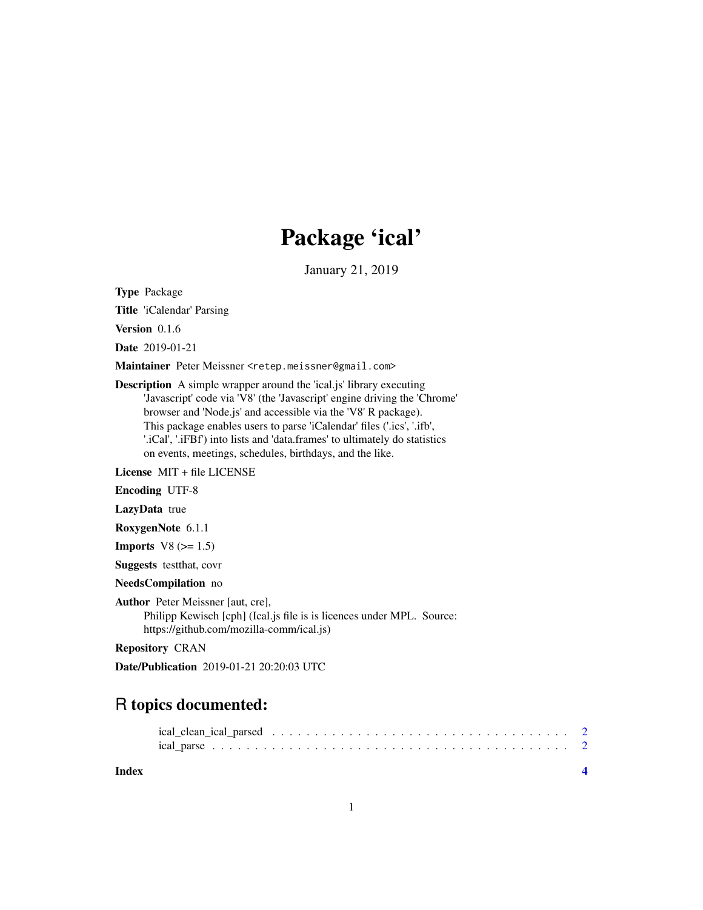## Package 'ical'

January 21, 2019

Type Package

Title 'iCalendar' Parsing

Version 0.1.6

Date 2019-01-21

Maintainer Peter Meissner <retep.meissner@gmail.com>

Description A simple wrapper around the 'ical.js' library executing 'Javascript' code via 'V8' (the 'Javascript' engine driving the 'Chrome' browser and 'Node.js' and accessible via the 'V8' R package). This package enables users to parse 'iCalendar' files ('.ics', '.ifb', '.iCal', '.iFBf') into lists and 'data.frames' to ultimately do statistics on events, meetings, schedules, birthdays, and the like.

License MIT + file LICENSE

Encoding UTF-8

LazyData true

RoxygenNote 6.1.1

**Imports**  $V8 (= 1.5)$ 

Suggests testthat, covr

NeedsCompilation no

Author Peter Meissner [aut, cre],

Philipp Kewisch [cph] (Ical.js file is is licences under MPL. Source: https://github.com/mozilla-comm/ical.js)

Repository CRAN

Date/Publication 2019-01-21 20:20:03 UTC

### R topics documented:

**Index** [4](#page-3-0)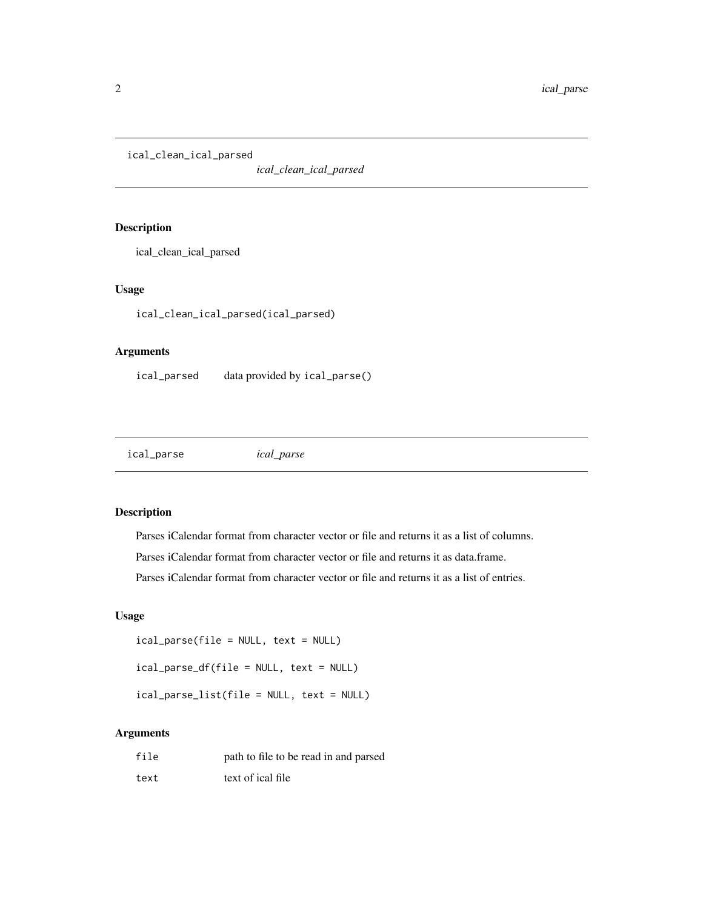<span id="page-1-0"></span>ical\_clean\_ical\_parsed

*ical\_clean\_ical\_parsed*

#### Description

ical\_clean\_ical\_parsed

#### Usage

ical\_clean\_ical\_parsed(ical\_parsed)

#### Arguments

ical\_parsed data provided by ical\_parse()

ical\_parse *ical\_parse*

#### Description

Parses iCalendar format from character vector or file and returns it as a list of columns.

Parses iCalendar format from character vector or file and returns it as data.frame.

Parses iCalendar format from character vector or file and returns it as a list of entries.

#### Usage

ical\_parse(file = NULL, text = NULL)

ical\_parse\_df(file = NULL, text = NULL)

ical\_parse\_list(file = NULL, text = NULL)

#### Arguments

| file | path to file to be read in and parsed |
|------|---------------------------------------|
| text | text of ical file                     |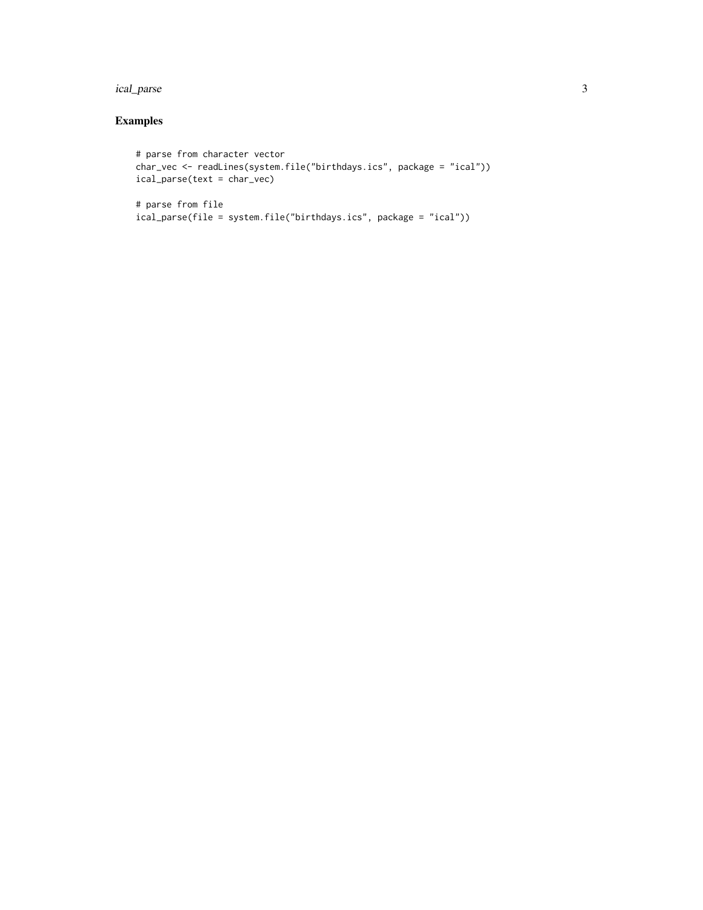#### ical\_parse 3

#### Examples

```
# parse from character vector
char_vec <- readLines(system.file("birthdays.ics", package = "ical"))
ical_parse(text = char_vec)
```

```
# parse from file
ical_parse(file = system.file("birthdays.ics", package = "ical"))
```